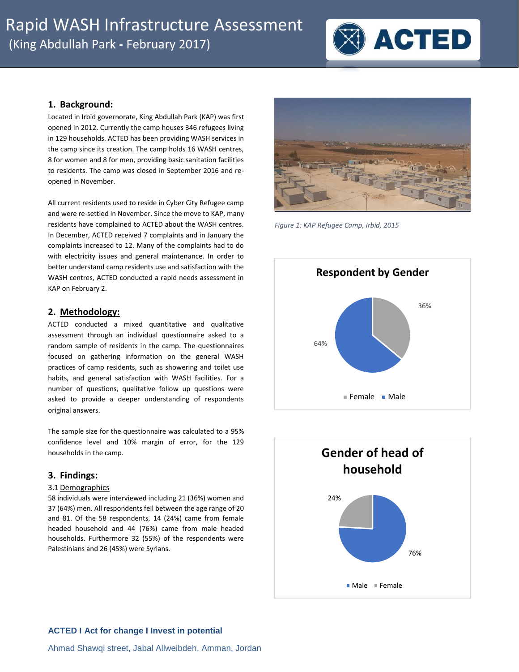

## **1. Background:**

Located in Irbid governorate, King Abdullah Park (KAP) was first opened in 2012. Currently the camp houses 346 refugees living in 129 households. ACTED has been providing WASH services in the camp since its creation. The camp holds 16 WASH centres, 8 for women and 8 for men, providing basic sanitation facilities to residents. The camp was closed in September 2016 and reopened in November.

All current residents used to reside in Cyber City Refugee camp and were re-settled in November. Since the move to KAP, many residents have complained to ACTED about the WASH centres. In December, ACTED received 7 complaints and in January the complaints increased to 12. Many of the complaints had to do with electricity issues and general maintenance. In order to better understand camp residents use and satisfaction with the WASH centres, ACTED conducted a rapid needs assessment in KAP on February 2.

## **2. Methodology:**

ACTED conducted a mixed quantitative and qualitative assessment through an individual questionnaire asked to a random sample of residents in the camp. The questionnaires focused on gathering information on the general WASH practices of camp residents, such as showering and toilet use habits, and general satisfaction with WASH facilities. For a number of questions, qualitative follow up questions were asked to provide a deeper understanding of respondents original answers.

The sample size for the questionnaire was calculated to a 95% confidence level and 10% margin of error, for the 129 households in the camp.

# **3. Findings:**

#### 3.1 Demographics

58 individuals were interviewed including 21 (36%) women and 37 (64%) men. All respondents fell between the age range of 20 and 81. Of the 58 respondents, 14 (24%) came from female headed household and 44 (76%) came from male headed households. Furthermore 32 (55%) of the respondents were Palestinians and 26 (45%) were Syrians.



*Figure 1: KAP Refugee Camp, Irbid, 2015*



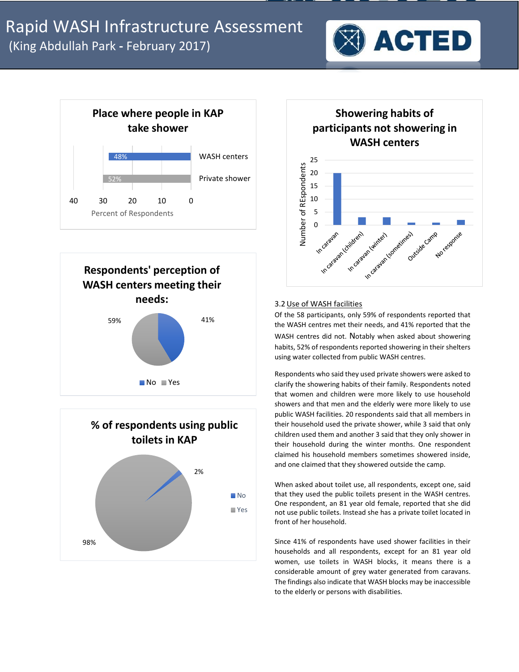









#### 3.2Use of WASH facilities

Of the 58 participants, only 59% of respondents reported that the WASH centres met their needs, and 41% reported that the WASH centres did not. Notably when asked about showering habits, 52% of respondents reported showering in their shelters using water collected from public WASH centres.

Respondents who said they used private showers were asked to clarify the showering habits of their family. Respondents noted that women and children were more likely to use household showers and that men and the elderly were more likely to use public WASH facilities. 20 respondents said that all members in their household used the private shower, while 3 said that only children used them and another 3 said that they only shower in their household during the winter months. One respondent claimed his household members sometimes showered inside, and one claimed that they showered outside the camp.

When asked about toilet use, all respondents, except one, said that they used the public toilets present in the WASH centres. One respondent, an 81 year old female, reported that she did not use public toilets. Instead she has a private toilet located in front of her household.

Since 41% of respondents have used shower facilities in their households and all respondents, except for an 81 year old women, use toilets in WASH blocks, it means there is a considerable amount of grey water generated from caravans. The findings also indicate that WASH blocks may be inaccessible to the elderly or persons with disabilities.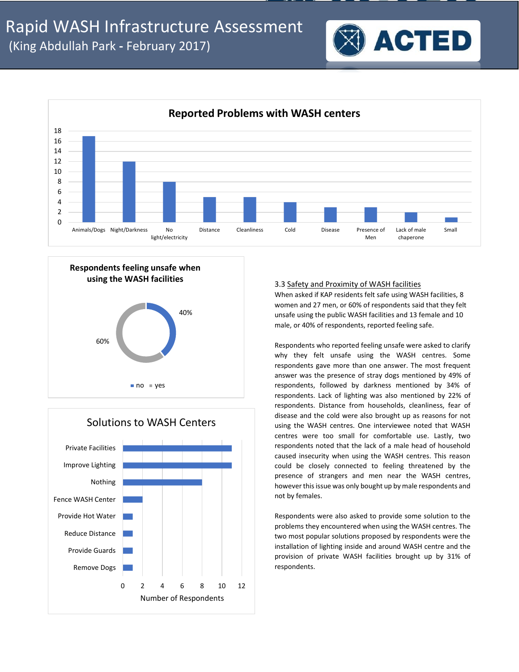





# Solutions to WASH Centers

### 3.3 Safety and Proximity of WASH facilities

When asked if KAP residents felt safe using WASH facilities, 8 women and 27 men, or 60% of respondents said that they felt unsafe using the public WASH facilities and 13 female and 10 male, or 40% of respondents, reported feeling safe.

**ACTED** 

Respondents who reported feeling unsafe were asked to clarify why they felt unsafe using the WASH centres. Some respondents gave more than one answer. The most frequent answer was the presence of stray dogs mentioned by 49% of respondents, followed by darkness mentioned by 34% of respondents. Lack of lighting was also mentioned by 22% of respondents. Distance from households, cleanliness, fear of disease and the cold were also brought up as reasons for not using the WASH centres. One interviewee noted that WASH centres were too small for comfortable use. Lastly, two respondents noted that the lack of a male head of household caused insecurity when using the WASH centres. This reason could be closely connected to feeling threatened by the presence of strangers and men near the WASH centres, however this issue was only bought up by male respondents and not by females.

Respondents were also asked to provide some solution to the problems they encountered when using the WASH centres. The two most popular solutions proposed by respondents were the installation of lighting inside and around WASH centre and the provision of private WASH facilities brought up by 31% of respondents.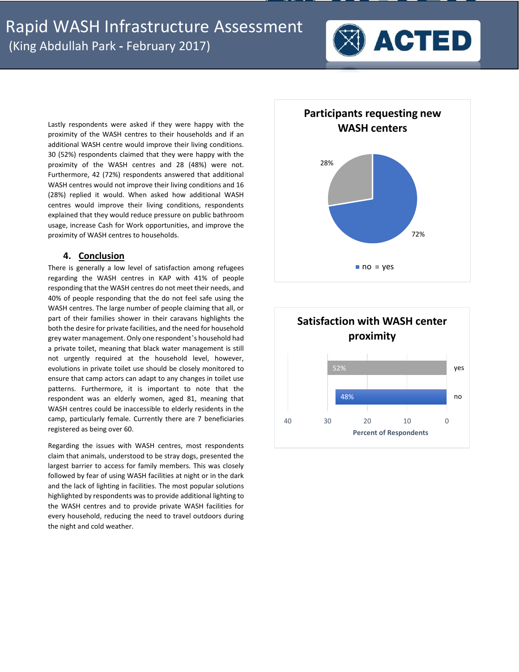

Lastly respondents were asked if they were happy with the proximity of the WASH centres to their households and if an additional WASH centre would improve their living conditions. 30 (52%) respondents claimed that they were happy with the proximity of the WASH centres and 28 (48%) were not. Furthermore, 42 (72%) respondents answered that additional WASH centres would not improve their living conditions and 16 (28%) replied it would. When asked how additional WASH centres would improve their living conditions, respondents explained that they would reduce pressure on public bathroom usage, increase Cash for Work opportunities, and improve the proximity of WASH centres to households.

# **4. Conclusion**

There is generally a low level of satisfaction among refugees regarding the WASH centres in KAP with 41% of people responding that the WASH centres do not meet their needs, and 40% of people responding that the do not feel safe using the WASH centres. The large number of people claiming that all, or part of their families shower in their caravans highlights the both the desire for private facilities, and the need for household grey water management. Only one respondent's household had a private toilet, meaning that black water management is still not urgently required at the household level, however, evolutions in private toilet use should be closely monitored to ensure that camp actors can adapt to any changes in toilet use patterns. Furthermore, it is important to note that the respondent was an elderly women, aged 81, meaning that WASH centres could be inaccessible to elderly residents in the camp, particularly female. Currently there are 7 beneficiaries registered as being over 60.

Regarding the issues with WASH centres, most respondents claim that animals, understood to be stray dogs, presented the largest barrier to access for family members. This was closely followed by fear of using WASH facilities at night or in the dark and the lack of lighting in facilities. The most popular solutions highlighted by respondents was to provide additional lighting to the WASH centres and to provide private WASH facilities for every household, reducing the need to travel outdoors during the night and cold weather.



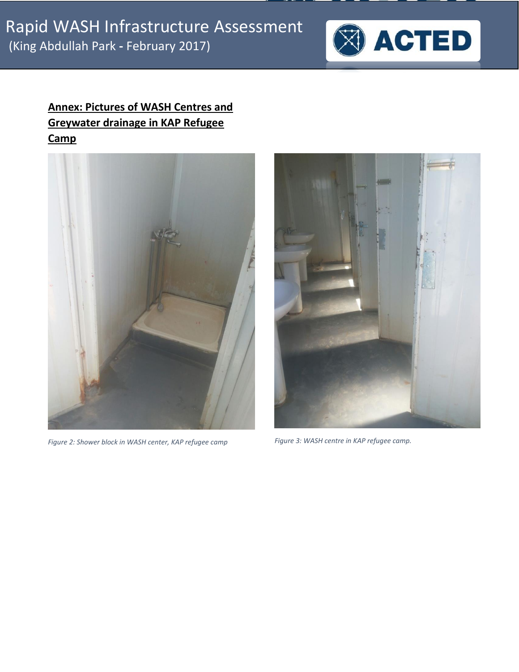

# **Annex: Pictures of WASH Centres and Greywater drainage in KAP Refugee Camp**



*Figure 2: Shower block in WASH center, KAP refugee camp Figure 3: WASH centre in KAP refugee camp.*